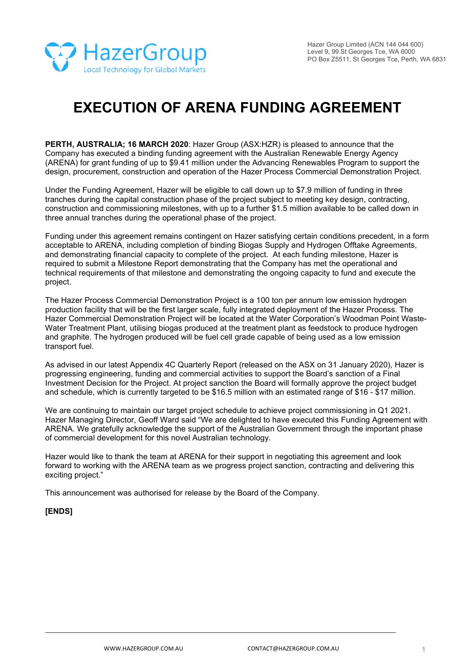

# **EXECUTION OF ARENA FUNDING AGREEMENT**

**PERTH, AUSTRALIA; 16 MARCH 2020**: Hazer Group (ASX:HZR) is pleased to announce that the Company has executed a binding funding agreement with the Australian Renewable Energy Agency (ARENA) for grant funding of up to \$9.41 million under the Advancing Renewables Program to support the design, procurement, construction and operation of the Hazer Process Commercial Demonstration Project.

Under the Funding Agreement, Hazer will be eligible to call down up to \$7.9 million of funding in three tranches during the capital construction phase of the project subject to meeting key design, contracting, construction and commissioning milestones, with up to a further \$1.5 million available to be called down in three annual tranches during the operational phase of the project.

Funding under this agreement remains contingent on Hazer satisfying certain conditions precedent, in a form acceptable to ARENA, including completion of binding Biogas Supply and Hydrogen Offtake Agreements, and demonstrating financial capacity to complete of the project. At each funding milestone, Hazer is required to submit a Milestone Report demonstrating that the Company has met the operational and technical requirements of that milestone and demonstrating the ongoing capacity to fund and execute the project.

The Hazer Process Commercial Demonstration Project is a 100 ton per annum low emission hydrogen production facility that will be the first larger scale, fully integrated deployment of the Hazer Process. The Hazer Commercial Demonstration Project will be located at the Water Corporation's Woodman Point Waste-Water Treatment Plant, utilising biogas produced at the treatment plant as feedstock to produce hydrogen and graphite. The hydrogen produced will be fuel cell grade capable of being used as a low emission transport fuel.

As advised in our latest Appendix 4C Quarterly Report (released on the ASX on 31 January 2020), Hazer is progressing engineering, funding and commercial activities to support the Board's sanction of a Final Investment Decision for the Project. At project sanction the Board will formally approve the project budget and schedule, which is currently targeted to be \$16.5 million with an estimated range of \$16 - \$17 million.

We are continuing to maintain our target project schedule to achieve project commissioning in Q1 2021. Hazer Managing Director, Geoff Ward said "We are delighted to have executed this Funding Agreement with ARENA. We gratefully acknowledge the support of the Australian Government through the important phase of commercial development for this novel Australian technology.

Hazer would like to thank the team at ARENA for their support in negotiating this agreement and look forward to working with the ARENA team as we progress project sanction, contracting and delivering this exciting project."

This announcement was authorised for release by the Board of the Company.

## **[ENDS]**